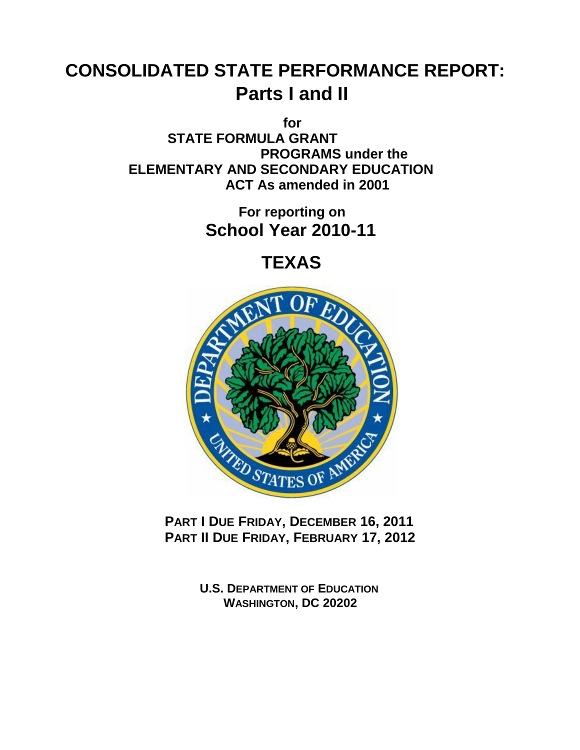# **CONSOLIDATED STATE PERFORMANCE REPORT: Parts I and II**

**for STATE FORMULA GRANT PROGRAMS under the ELEMENTARY AND SECONDARY EDUCATION ACT As amended in 2001**

> **For reporting on School Year 2010-11**

> > **TEXAS**



**PART I DUE FRIDAY, DECEMBER 16, 2011 PART II DUE FRIDAY, FEBRUARY 17, 2012**

> **U.S. DEPARTMENT OF EDUCATION WASHINGTON, DC 20202**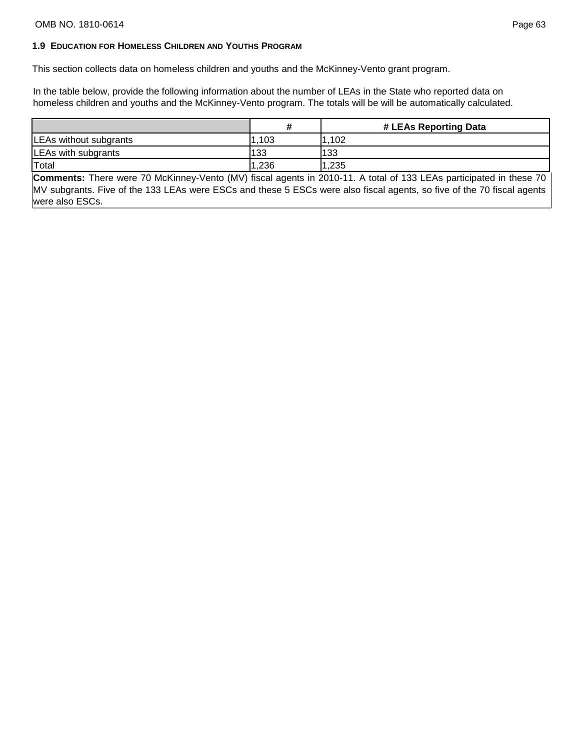#### **1.9 EDUCATION FOR HOMELESS CHILDREN AND YOUTHS PROGRAM**

This section collects data on homeless children and youths and the McKinney-Vento grant program.

In the table below, provide the following information about the number of LEAs in the State who reported data on homeless children and youths and the McKinney-Vento program. The totals will be will be automatically calculated.

|                        |       | # LEAs Reporting Data |
|------------------------|-------|-----------------------|
| LEAs without subgrants | .103  | 1,102                 |
| LEAs with subgrants    | 133   | 133                   |
| Total                  | 1,236 | 1,235                 |

**Comments:** There were 70 McKinney-Vento (MV) fiscal agents in 2010-11. A total of 133 LEAs participated in these 70 MV subgrants. Five of the 133 LEAs were ESCs and these 5 ESCs were also fiscal agents, so five of the 70 fiscal agents were also ESCs.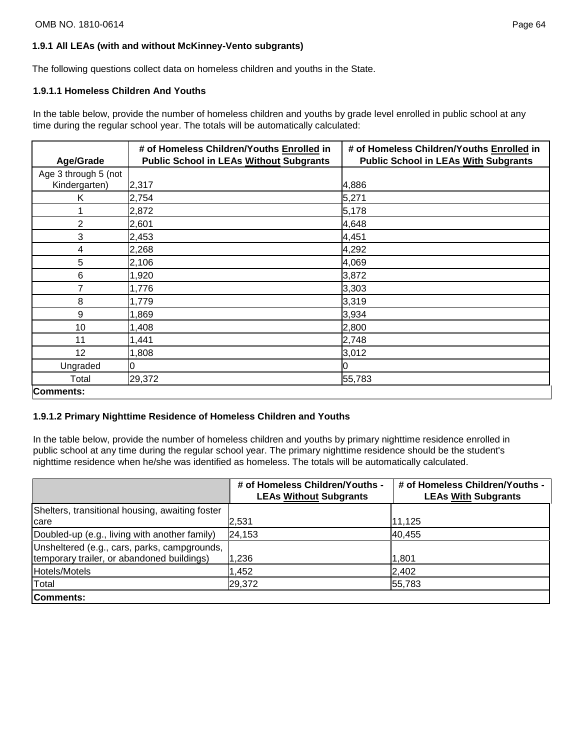## **1.9.1 All LEAs (with and without McKinney-Vento subgrants)**

The following questions collect data on homeless children and youths in the State.

### **1.9.1.1 Homeless Children And Youths**

In the table below, provide the number of homeless children and youths by grade level enrolled in public school at any time during the regular school year. The totals will be automatically calculated:

|                      | # of Homeless Children/Youths Enrolled in      | # of Homeless Children/Youths Enrolled in   |
|----------------------|------------------------------------------------|---------------------------------------------|
| Age/Grade            | <b>Public School in LEAs Without Subgrants</b> | <b>Public School in LEAs With Subgrants</b> |
| Age 3 through 5 (not |                                                |                                             |
| Kindergarten)        | 2,317                                          | 4,886                                       |
| Κ                    | 2,754                                          | 5,271                                       |
|                      | 2,872                                          | 5,178                                       |
| 2                    | 2,601                                          | 4,648                                       |
| 3                    | 2,453                                          | 4,451                                       |
| 4                    | 2,268                                          | 4,292                                       |
| 5                    | 2,106                                          | 4,069                                       |
| 6                    | 1,920                                          | 3,872                                       |
| 7                    | 1,776                                          | 3,303                                       |
| 8                    | 1,779                                          | 3,319                                       |
| 9                    | 1,869                                          | 3,934                                       |
| 10                   | 1,408                                          | 2,800                                       |
| 11                   | 1,441                                          | 2,748                                       |
| 12                   | 1,808                                          | 3,012                                       |
| Ungraded             | Ю                                              |                                             |
| Total                | 29,372                                         | 55,783                                      |
| Comments:            |                                                |                                             |

## **1.9.1.2 Primary Nighttime Residence of Homeless Children and Youths**

In the table below, provide the number of homeless children and youths by primary nighttime residence enrolled in public school at any time during the regular school year. The primary nighttime residence should be the student's nighttime residence when he/she was identified as homeless. The totals will be automatically calculated.

|                                                                                            | # of Homeless Children/Youths -<br><b>LEAs Without Subgrants</b> | # of Homeless Children/Youths -<br><b>LEAs With Subgrants</b> |
|--------------------------------------------------------------------------------------------|------------------------------------------------------------------|---------------------------------------------------------------|
| Shelters, transitional housing, awaiting foster                                            |                                                                  |                                                               |
| care                                                                                       | 2,531                                                            | 11.125                                                        |
| Doubled-up (e.g., living with another family)                                              | 24,153                                                           | 40,455                                                        |
| Unsheltered (e.g., cars, parks, campgrounds,<br>temporary trailer, or abandoned buildings) | 236, ا                                                           | 1,801                                                         |
| Hotels/Motels                                                                              | 1,452                                                            | 2,402                                                         |
| Total                                                                                      | 29,372                                                           | 55,783                                                        |
| Comments:                                                                                  |                                                                  |                                                               |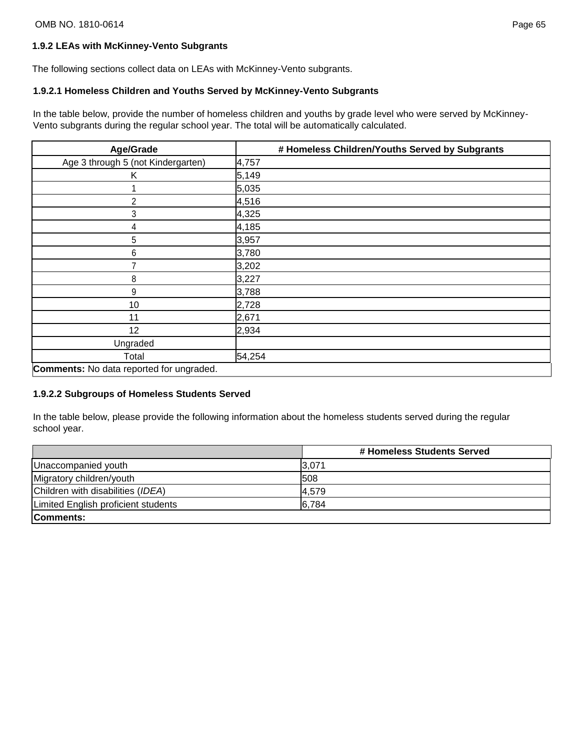The following sections collect data on LEAs with McKinney-Vento subgrants.

# **1.9.2.1 Homeless Children and Youths Served by McKinney-Vento Subgrants**

In the table below, provide the number of homeless children and youths by grade level who were served by McKinney-Vento subgrants during the regular school year. The total will be automatically calculated.

| Age/Grade                                       | # Homeless Children/Youths Served by Subgrants |
|-------------------------------------------------|------------------------------------------------|
| Age 3 through 5 (not Kindergarten)              | 4,757                                          |
| Κ                                               | 5,149                                          |
|                                                 | 5,035                                          |
| $\overline{2}$                                  | 4,516                                          |
| 3                                               | 4,325                                          |
| 4                                               | 4,185                                          |
| 5                                               | 3,957                                          |
| 6                                               | 3,780                                          |
| $\overline{7}$                                  | 3,202                                          |
| 8                                               | 3,227                                          |
| 9                                               | 3,788                                          |
| 10                                              | 2,728                                          |
| 11                                              | 2,671                                          |
| 12                                              | 2,934                                          |
| Ungraded                                        |                                                |
| Total                                           | 54,254                                         |
| <b>Comments:</b> No data reported for ungraded. |                                                |

## **1.9.2.2 Subgroups of Homeless Students Served**

In the table below, please provide the following information about the homeless students served during the regular school year.

|                                     | # Homeless Students Served |
|-------------------------------------|----------------------------|
| Unaccompanied youth                 | 3,071                      |
| Migratory children/youth            | 508                        |
| Children with disabilities (IDEA)   | 4,579                      |
| Limited English proficient students | 6,784                      |
| Comments:                           |                            |